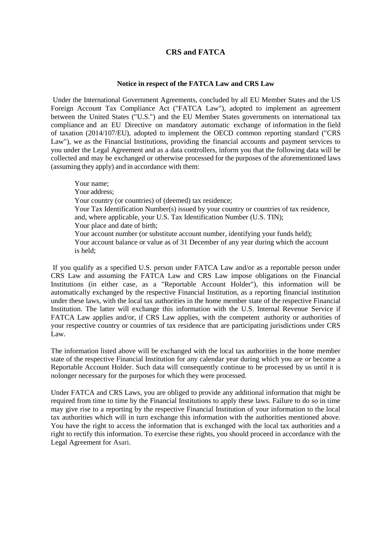# **CRS and FATCA**

#### **Notice in respect of the FATCA Law and CRS Law**

Under the International Government Agreements, concluded by all EU Member States and the US Foreign Account Tax Compliance Act ("FATCA Law"), adopted to implement an agreement between the United States ("U.S.") and the EU Member States governments on international tax compliance and an EU Directive on mandatory automatic exchange of information in the field of taxation (2014/107/EU), adopted to implement the OECD common reporting standard ("CRS Law"), we as the Financial Institutions, providing the financial accounts and payment services to you under the Legal Agreement and as a data controllers, inform you that the following data will be collected and may be exchanged or otherwise processed for the purposes of the aforementioned laws (assuming they apply) and in accordance with them:

Your name; Your address; Your country (or countries) of (deemed) tax residence; Your Tax Identification Number(s) issued by your country or countries of tax residence, and, where applicable, your U.S. Tax Identification Number (U.S. TIN); Your place and date of birth; Your account number (or substitute account number, identifying your funds held); Your account balance or value as of 31 December of any year during which the account is held;

If you qualify as a specified U.S. person under FATCA Law and/or as a reportable person under CRS Law and assuming the FATCA Law and CRS Law impose obligations on the Financial Institutions (in either case, as a "Reportable Account Holder"), this information will be automatically exchanged by the respective Financial Institution, as a reporting financial institution under these laws, with the local tax authorities in the home member state of the respective Financial Institution. The latter will exchange this information with the U.S. Internal Revenue Service if FATCA Law applies and/or, if CRS Law applies, with the competent authority or authorities of your respective country or countries of tax residence that are participating jurisdictions under CRS Law.

The information listed above will be exchanged with the local tax authorities in the home member state of the respective Financial Institution for any calendar year during which you are or become a Reportable Account Holder. Such data will consequently continue to be processed by us until it is nolonger necessary for the purposes for which they were processed.

Under FATCA and CRS Laws, you are obliged to provide any additional information that might be required from time to time by the Financial Institutions to apply these laws. Failure to do so in time may give rise to a reporting by the respective Financial Institution of your information to the local tax authorities which will in turn exchange this information with the authorities mentioned above. You have the right to access the information that is exchanged with the local tax authorities and a right to rectify this information. To exercise these rights, you should proceed in accordance with the Legal Agreement for Asari.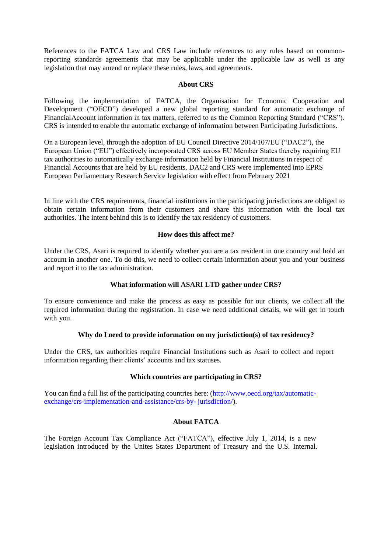References to the FATCA Law and CRS Law include references to any rules based on commonreporting standards agreements that may be applicable under the applicable law as well as any legislation that may amend or replace these rules, laws, and agreements.

#### **About CRS**

Following the implementation of FATCA, the Organisation for Economic Cooperation and Development ("OECD") developed a new global reporting standard for automatic exchange of FinancialAccount information in tax matters, referred to as the Common Reporting Standard ("CRS"). CRS is intended to enable the automatic exchange of information between Participating Jurisdictions.

On a European level, through the adoption of EU Council Directive 2014/107/EU ("DAC2"), the European Union ("EU") effectively incorporated CRS across EU Member States thereby requiring EU tax authorities to automatically exchange information held by Financial Institutions in respect of Financial Accounts that are held by EU residents. DAC2 and CRS were implemented into EPRS European Parliamentary Research Service legislation with effect from February 2021

In line with the CRS requirements, financial institutions in the participating jurisdictions are obliged to obtain certain information from their customers and share this information with the local tax authorities. The intent behind this is to identify the tax residency of customers.

#### **How does this affect me?**

Under the CRS, Asari is required to identify whether you are a tax resident in one country and hold an account in another one. To do this, we need to collect certain information about you and your business and report it to the tax administration.

### **What information will ASARI LTD gather under CRS?**

To ensure convenience and make the process as easy as possible for our clients, we collect all the required information during the registration. In case we need additional details, we will get in touch with you.

## **Why do I need to provide information on my jurisdiction(s) of tax residency?**

Under the CRS, tax authorities require Financial Institutions such as Asari to collect and report information regarding their clients' accounts and tax statuses.

## **Which countries are participating in CRS?**

You can find a full list of the participating countries here: [\(http://www.oecd.org/tax/automatic](http://www.oecd.org/tax/automatic-exchange/crs-implementation-and-assistance/crs-by-)[exchange/crs-implementation-and-assistance/crs-by-](http://www.oecd.org/tax/automatic-exchange/crs-implementation-and-assistance/crs-by-) jurisdiction/).

### **About FATCA**

The Foreign Account Tax Compliance Act ("FATCA"), effective July 1, 2014, is a new legislation introduced by the Unites States Department of Treasury and the U.S. Internal.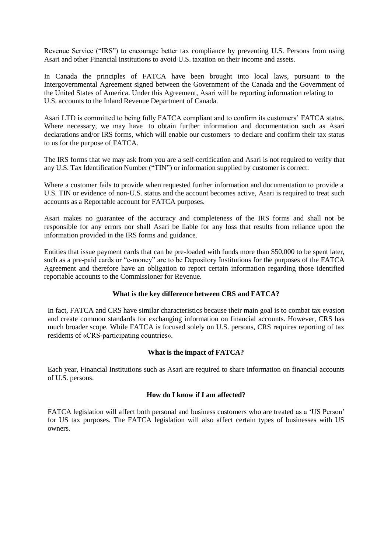Revenue Service ("IRS") to encourage better tax compliance by preventing U.S. Persons from using Asari and other Financial Institutions to avoid U.S. taxation on their income and assets.

In Canada the principles of FATCA have been brought into local laws, pursuant to the Intergovernmental Agreement signed between the Government of the Canada and the Government of the United States of America. Under this Agreement, Asari will be reporting information relating to U.S. accounts to the Inland Revenue Department of Canada.

Asari LTD is committed to being fully FATCA compliant and to confirm its customers' FATCA status. Where necessary, we may have to obtain further information and documentation such as Asari declarations and/or IRS forms, which will enable our customers to declare and confirm their tax status to us for the purpose of FATCA.

The IRS forms that we may ask from you are a self-certification and Asari is not required to verify that any U.S. Tax Identification Number ("TIN") or information supplied by customer is correct.

Where a customer fails to provide when requested further information and documentation to provide a U.S. TIN or evidence of non-U.S. status and the account becomes active, Asari is required to treat such accounts as a Reportable account for FATCA purposes.

Asari makes no guarantee of the accuracy and completeness of the IRS forms and shall not be responsible for any errors nor shall Asari be liable for any loss that results from reliance upon the information provided in the IRS forms and guidance.

Entities that issue payment cards that can be pre-loaded with funds more than \$50,000 to be spent later, such as a pre-paid cards or "e-money" are to be Depository Institutions for the purposes of the FATCA Agreement and therefore have an obligation to report certain information regarding those identified reportable accounts to the Commissioner for Revenue.

### **What is the key difference between CRS and FATCA?**

In fact, FATCA and CRS have similar characteristics because their main goal is to combat tax evasion and create common standards for exchanging information on financial accounts. However, CRS has much broader scope. While FATCA is focused solely on U.S. persons, CRS requires reporting of tax residents of «CRS-participating countries».

### **What is the impact of FATCA?**

Each year, Financial Institutions such as Asari are required to share information on financial accounts of U.S. persons.

### **How do I know if I am affected?**

FATCA legislation will affect both personal and business customers who are treated as a 'US Person' for US tax purposes. The FATCA legislation will also affect certain types of businesses with US owners.